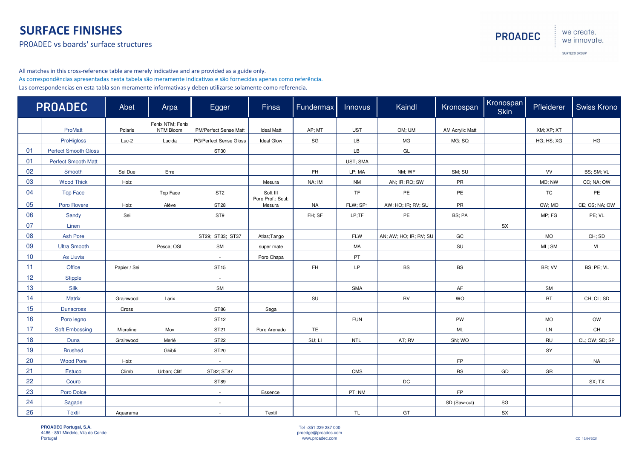## SURFACE FINISHES

PROADEC vs boards' surface structures

we create. we innovate.

**PROADEC** 

SURTECO GROUP

All matches in this cross-reference table are merely indicative and are provided as a guide only. As correspondências apresentadas nesta tabela são meramente indicativas e são fornecidas apenas como referência.Las correspondencias en esta tabla son meramente informativas y deben utilizarse solamente como referencia.

| <b>PROADEC</b> |                             | Abet         | Arpa                          | Egger                  | Finsa                       | Fundermax | Innovus    | Kaindl                 | Kronospan              | Kronospan<br><b>Skin</b> | Pfleiderer    | Swiss Krono                              |
|----------------|-----------------------------|--------------|-------------------------------|------------------------|-----------------------------|-----------|------------|------------------------|------------------------|--------------------------|---------------|------------------------------------------|
|                | ProMatt                     | Polaris      | Fenix NTM; Fenix<br>NTM Bloom | PM/Perfect Sense Matt  | <b>Ideal Matt</b>           | AP; MT    | <b>UST</b> | OM; UM                 | <b>AM Acrylic Matt</b> |                          | XM; XP; XT    |                                          |
|                | ProHigloss                  | $Luc-2$      | Lucida                        | PG/Perfect Sense Gloss | <b>Ideal Glow</b>           | SG        | LB         | <b>MG</b>              | MG; SQ                 |                          | HG; HS; XG    | HG                                       |
| 01             | <b>Perfect Smooth Gloss</b> |              |                               | ST30                   |                             |           | LB         | GL                     |                        |                          |               |                                          |
| 01             | <b>Perfect Smooth Matt</b>  |              |                               |                        |                             |           | UST; SMA   |                        |                        |                          |               |                                          |
| 02             | Smooth                      | Sei Due      | Erre                          |                        |                             | FH        | LP; MA     | NM; WF                 | SM; SU                 |                          | VV            | BS; SM; VL                               |
| 03             | <b>Wood Thick</b>           | Holz         |                               |                        | Mesura                      | NA; IM    | <b>NM</b>  | AN; IR; RO; SW         | PR                     |                          | MO; NW        | CC; NA; OW                               |
| 04             | <b>Top Face</b>             |              | Top Face                      | ST <sub>2</sub>        | Soft III                    |           | <b>TF</b>  | PE                     | PE                     |                          | <b>TC</b>     | PE                                       |
| 05             | Poro Rovere                 | Holz         | Alève                         | <b>ST28</b>            | Poro Prof.; Soul;<br>Mesura | <b>NA</b> | FLW; SP1   | AW; HO; IR; RV; SU     | PR                     |                          | CW; MO        | CE; CS; NA; OW                           |
| 06             | Sandy                       | Sei          |                               | ST9                    |                             | FH; SF    | LP;TF      | PE                     | BS; PA                 |                          | MP; FG        | PE; VL                                   |
| 07             | Linen                       |              |                               |                        |                             |           |            |                        |                        | SX                       |               |                                          |
| 08             | <b>Ash Pore</b>             |              |                               | ST29; ST33; ST37       | Atlas; Tango                |           | <b>FLW</b> | AN; AW; HO; IR; RV; SU | GC                     |                          | <b>MO</b>     | CH; SD                                   |
| 09             | <b>Ultra Smooth</b>         |              | Pesca; OSL                    | SM                     | super mate                  |           | MA         |                        | SU                     |                          | ML; SM        | VL                                       |
| 10             | As Lluvia                   |              |                               | $\sim$                 | Poro Chapa                  |           | PT         |                        |                        |                          |               |                                          |
| 11             | Office                      | Papier / Sei |                               | ST15                   |                             | FH        | LP         | <b>BS</b>              | <b>BS</b>              |                          | BR; VV        | BS; PE; VL                               |
| 12             | <b>Stipple</b>              |              |                               | $\sim$                 |                             |           |            |                        |                        |                          |               |                                          |
| 13             | Silk                        |              |                               | SM                     |                             |           | SMA        |                        | AF                     |                          | SM            |                                          |
| 14             | <b>Matrix</b>               | Grainwood    | Larix                         |                        |                             | SU        |            | RV                     | WO                     |                          | $\mathsf{RT}$ | CH; CL; SD                               |
| 15             | <b>Dunacross</b>            | Cross        |                               | ST86                   | Sega                        |           |            |                        |                        |                          |               |                                          |
| 16             | Poro legno                  |              |                               | ST12                   |                             |           | <b>FUN</b> |                        | PW                     |                          | <b>MO</b>     | OW                                       |
| 17             | <b>Soft Embossing</b>       | Microline    | Mov                           | ST21                   | Poro Arenado                | <b>TE</b> |            |                        | ML                     |                          | LN            | $\mathsf{CH}% \left( \mathcal{M}\right)$ |
| 18             | Duna                        | Grainwood    | Merlê                         | <b>ST22</b>            |                             | SU; LI    | <b>NTL</b> | AT; RV                 | SN; WO                 |                          | ${\sf RU}$    | CL; OW; SD; SP                           |
| 19             | <b>Brushed</b>              |              | Ghibli                        | ST20                   |                             |           |            |                        |                        |                          | SY            |                                          |
| 20             | <b>Wood Pore</b>            | Holz         |                               | $\sim$                 |                             |           |            |                        | FP                     |                          |               | <b>NA</b>                                |
| 21             | Estuco                      | Climb        | Urban; Cliff                  | ST82; ST87             |                             |           | CMS        |                        | <b>RS</b>              | GD                       | GR            |                                          |
| 22             | Couro                       |              |                               | ST89                   |                             |           |            | DC                     |                        |                          |               | SX; TX                                   |
| 23             | Poro Dolce                  |              |                               | $\sim$                 | Essence                     |           | PT; NM     |                        | <b>FP</b>              |                          |               |                                          |
| 24             | Sagade                      |              |                               | $\sim$                 |                             |           |            |                        | SD (Saw-cut)           | SG                       |               |                                          |
| 26             | <b>Textil</b>               | Aquarama     |                               | $\sim$                 | Textil                      |           | <b>TL</b>  | GT                     |                        | SX                       |               |                                          |